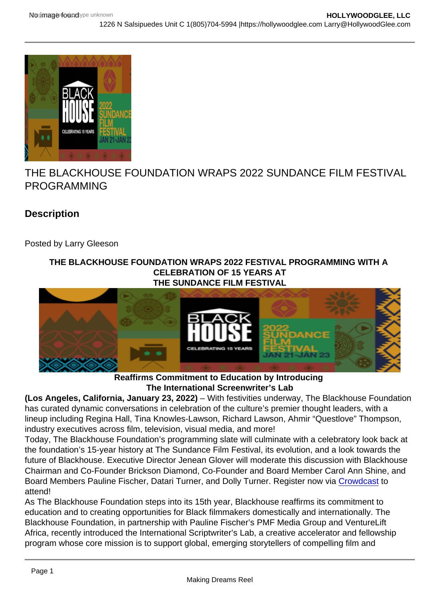## THE BLACKHOUSE FOUNDATION WRAPS 2022 SUNDANCE FILM FESTIVAL PROGRAMMING

**Description** 

Posted by Larry Gleeson

THE BLACKHOUSE FOUNDATION WRAPS 2022 FESTIVAL PROGRAMMING WITH A CELEBRATION OF 15 YEARS AT THE SUNDANCE FILM FESTIVAL

## Reaffirms Commitment to Education by Introducing The International Screenwriter's Lab

(Los Angeles, California, January 23, 2022) – With festivities underway, The Blackhouse Foundation has curated dynamic conversations in celebration of the culture's premier thought leaders, with a lineup including Regina Hall, Tina Knowles-Lawson, Richard Lawson, Ahmir "Questlove" Thompson, industry executives across film, television, visual media, and more!

Today, The Blackhouse Foundation's programming slate will culminate with a celebratory look back at the foundation's 15-year history at The Sundance Film Festival, its evolution, and a look towards the future of Blackhouse. Executive Director Jenean Glover will moderate this discussion with Blackhouse Chairman and Co-Founder Brickson Diamond, Co-Founder and Board Member Carol Ann Shine, and Board Members Pauline Fischer, Datari Turner, and Dolly Turner. Register now via [Crowdcast](https://r20.rs6.net/tn.jsp?f=00161emL5dLIfACjLK7fGmbiQpmNrKJqRAfVQO5I8NoQpcJcelK6_NVwOfpEiQ6JuJFo8kz1ZfgfMRDcye5bAI40uHbfNEs5ZxHdodd6hMWgwpjb_8QiDbuIueIaMOtEEj-NSUsoC4MXnVE69w3zBAqvyBOu1z5BbSY&c=_QVQ6IXBZPSRlvujgBHHYOjTSK-dTR5Uf_sj-PP7b7pRPgvcltzAmA==&ch=1N6Ba-aWptHRBr-ozqwm92tnj6cxWn873t5gxLfQvr_OfTnzSQxxOg==) to attend!

As The Blackhouse Foundation steps into its 15th year, Blackhouse reaffirms its commitment to education and to creating opportunities for Black filmmakers domestically and internationally. The Blackhouse Foundation, in partnership with Pauline Fischer's PMF Media Group and VentureLift Africa, recently introduced the International Scriptwriter's Lab, a creative accelerator and fellowship program whose core mission is to support global, emerging storytellers of compelling film and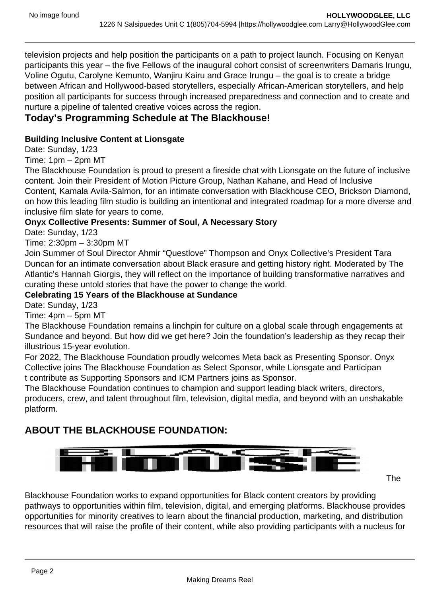television projects and help position the participants on a path to project launch. Focusing on Kenyan participants this year – the five Fellows of the inaugural cohort consist of screenwriters Damaris Irungu, Voline Ogutu, Carolyne Kemunto, Wanjiru Kairu and Grace Irungu – the goal is to create a bridge between African and Hollywood-based storytellers, especially African-American storytellers, and help position all participants for success through increased preparedness and connection and to create and nurture a pipeline of talented creative voices across the region.

Today's Programming Schedule at The Blackhouse!

Building Inclusive Content at Lionsgate

Date: Sunday, 1/23

Time: 1pm – 2pm MT

The Blackhouse Foundation is proud to present a fireside chat with Lionsgate on the future of inclusive content. Join their President of Motion Picture Group, Nathan Kahane, and Head of Inclusive Content, Kamala Avila-Salmon, for an intimate conversation with Blackhouse CEO, Brickson Diamond, on how this leading film studio is building an intentional and integrated roadmap for a more diverse and inclusive film slate for years to come.

Onyx Collective Presents: Summer of Soul, A Necessary Story

Date: Sunday, 1/23

Time: 2:30pm – 3:30pm MT

Join Summer of Soul Director Ahmir "Questlove" Thompson and Onyx Collective's President Tara Duncan for an intimate conversation about Black erasure and getting history right. Moderated by The Atlantic's Hannah Giorgis, they will reflect on the importance of building transformative narratives and curating these untold stories that have the power to change the world.

Celebrating 15 Years of the Blackhouse at Sundance

Date: Sunday, 1/23

Time: 4pm – 5pm MT

The Blackhouse Foundation remains a linchpin for culture on a global scale through engagements at Sundance and beyond. But how did we get here? Join the foundation's leadership as they recap their illustrious 15-year evolution.

For 2022, The Blackhouse Foundation proudly welcomes Meta back as Presenting Sponsor. Onyx Collective joins The Blackhouse Foundation as Select Sponsor, while Lionsgate and Participan t contribute as Supporting Sponsors and ICM Partners joins as Sponsor.

The Blackhouse Foundation continues to champion and support leading black writers, directors, producers, crew, and talent throughout film, television, digital media, and beyond with an unshakable platform.

ABOUT THE BLACKHOUSE FOUNDATION:

The

Blackhouse Foundation works to expand opportunities for Black content creators by providing pathways to opportunities within film, television, digital, and emerging platforms. Blackhouse provides opportunities for minority creatives to learn about the financial production, marketing, and distribution resources that will raise the profile of their content, while also providing participants with a nucleus for